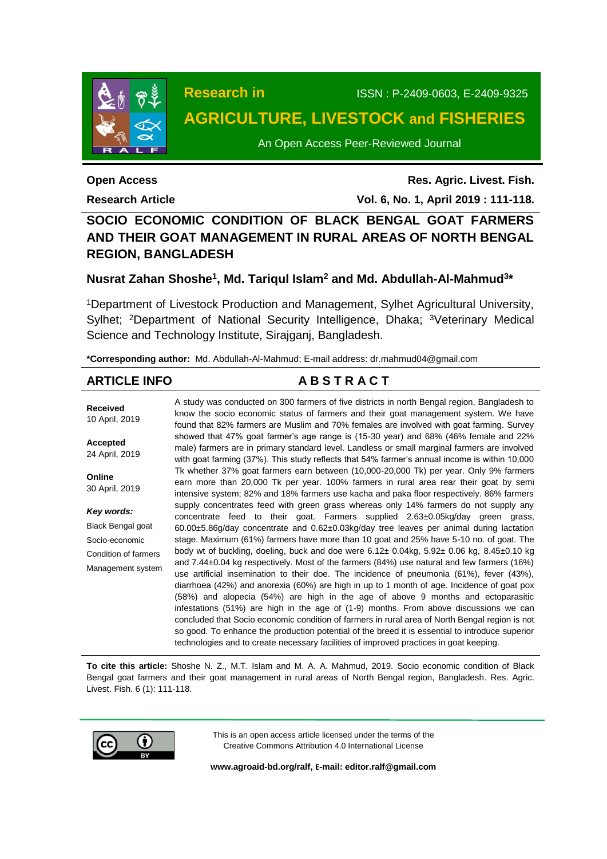

**Research in** ISSN : P-2409-0603, E-2409-9325

# **AGRICULTURE, LIVESTOCK and FISHERIES**

An Open Access Peer-Reviewed Journal

**Open Access**

**Research Article**

**Res. Agric. Livest. Fish. Vol. 6, No. 1, April 2019 : 111-118.**

## **SOCIO ECONOMIC CONDITION OF BLACK BENGAL GOAT FARMERS AND THEIR GOAT MANAGEMENT IN RURAL AREAS OF NORTH BENGAL REGION, BANGLADESH**

## **Nusrat Zahan Shoshe<sup>1</sup> , Md. Tariqul Islam<sup>2</sup> and Md. Abdullah-Al-Mahmud<sup>3</sup> \***

<sup>1</sup>Department of Livestock Production and Management, Sylhet Agricultural University, Sylhet: <sup>2</sup>Department of National Security Intelligence, Dhaka: <sup>3</sup>Veterinary Medical Science and Technology Institute, Sirajganj, Bangladesh.

**\*Corresponding author:** Md. Abdullah-Al-Mahmud; E-mail address: dr.mahmud04@gmail.com

## **ARTICLE INFO A B S T R A C T**

**Received** 10 April, 2019 **Accepted** 24 April, 2019 **Online** 30 April, 2019 *Key words:* Black Bengal goat Socio-economic Condition of farmers Management system A study was conducted on 300 farmers of five districts in north Bengal region, Bangladesh to know the socio economic status of farmers and their goat management system. We have found that 82% farmers are Muslim and 70% females are involved with goat farming. Survey showed that 47% goat farmer's age range is (15-30 year) and 68% (46% female and 22% male) farmers are in primary standard level. Landless or small marginal farmers are involved with goat farming (37%). This study reflects that 54% farmer's annual income is within 10,000 Tk whether 37% goat farmers earn between (10,000-20,000 Tk) per year. Only 9% farmers earn more than 20,000 Tk per year. 100% farmers in rural area rear their goat by semi intensive system; 82% and 18% farmers use kacha and paka floor respectively. 86% farmers supply concentrates feed with green grass whereas only 14% farmers do not supply any concentrate feed to their goat. Farmers supplied 2.63±0.05kg/day green grass, 60.00±5.86g/day concentrate and 0.62±0.03kg/day tree leaves per animal during lactation stage. Maximum (61%) farmers have more than 10 goat and 25% have 5-10 no. of goat. The body wt of buckling, doeling, buck and doe were 6.12± 0.04kg, 5.92± 0.06 kg, 8.45±0.10 kg and 7.44±0.04 kg respectively. Most of the farmers (84%) use natural and few farmers (16%) use artificial insemination to their doe. The incidence of pneumonia (61%), fever (43%), diarrhoea (42%) and anorexia (60%) are high in up to 1 month of age. Incidence of goat pox (58%) and alopecia (54%) are high in the age of above 9 months and ectoparasitic infestations (51%) are high in the age of (1-9) months. From above discussions we can concluded that Socio economic condition of farmers in rural area of North Bengal region is not so good. To enhance the production potential of the breed it is essential to introduce superior technologies and to create necessary facilities of improved practices in goat keeping.

**To cite this article:** Shoshe N. Z., M.T. Islam and M. A. A. Mahmud, 2019. Socio economic condition of Black Bengal goat farmers and their goat management in rural areas of North Bengal region, Bangladesh. Res. Agric. Livest. Fish. 6 (1): 111-118.



This is an open access article licensed under the terms of the Creative Commons Attribution 4.0 International License

**[www.agroaid-bd.org/ralf,](http://www.agroaid-bd.org/ralf) E-mail[: editor.ralf@gmail.com](mailto:editor.ralf@gmail.com)**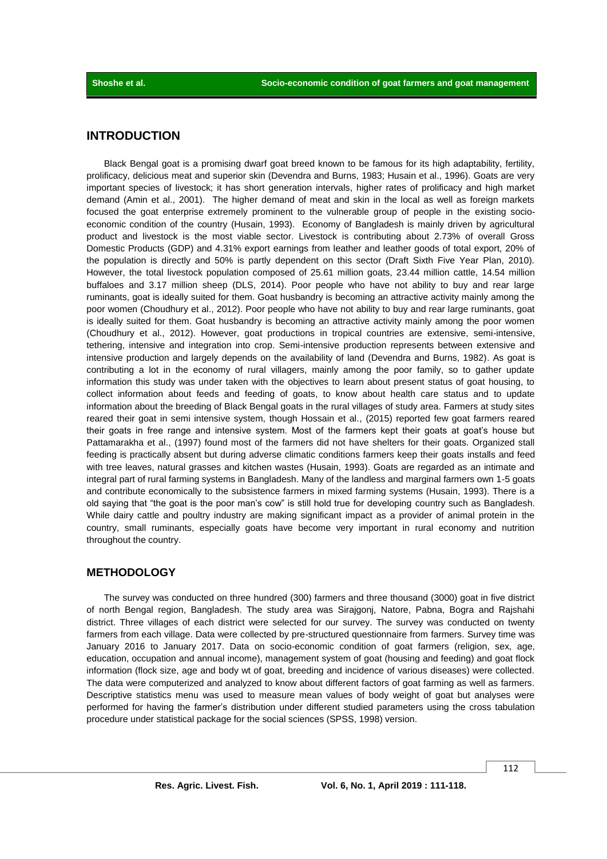## **INTRODUCTION**

Black Bengal goat is a promising dwarf goat breed known to be famous for its high adaptability, fertility, prolificacy, delicious meat and superior skin (Devendra and Burns, 1983; Husain et al., 1996). Goats are very important species of livestock; it has short generation intervals, higher rates of prolificacy and high market demand (Amin et al., 2001). The higher demand of meat and skin in the local as well as foreign markets focused the goat enterprise extremely prominent to the vulnerable group of people in the existing socioeconomic condition of the country (Husain, 1993). Economy of Bangladesh is mainly driven by agricultural product and livestock is the most viable sector. Livestock is contributing about 2.73% of overall Gross Domestic Products (GDP) and 4.31% export earnings from leather and leather goods of total export, 20% of the population is directly and 50% is partly dependent on this sector (Draft Sixth Five Year Plan, 2010). However, the total livestock population composed of 25.61 million goats, 23.44 million cattle, 14.54 million buffaloes and 3.17 million sheep (DLS, 2014). Poor people who have not ability to buy and rear large ruminants, goat is ideally suited for them. Goat husbandry is becoming an attractive activity mainly among the poor women (Choudhury et al., 2012). Poor people who have not ability to buy and rear large ruminants, goat is ideally suited for them. Goat husbandry is becoming an attractive activity mainly among the poor women (Choudhury et al., 2012). However, goat productions in tropical countries are extensive, semi-intensive, tethering, intensive and integration into crop. Semi-intensive production represents between extensive and intensive production and largely depends on the availability of land (Devendra and Burns, 1982). As goat is contributing a lot in the economy of rural villagers, mainly among the poor family, so to gather update information this study was under taken with the objectives to learn about present status of goat housing, to collect information about feeds and feeding of goats, to know about health care status and to update information about the breeding of Black Bengal goats in the rural villages of study area. Farmers at study sites reared their goat in semi intensive system, though Hossain et al., (2015) reported few goat farmers reared their goats in free range and intensive system. Most of the farmers kept their goats at goat's house but Pattamarakha et al., (1997) found most of the farmers did not have shelters for their goats. Organized stall feeding is practically absent but during adverse climatic conditions farmers keep their goats installs and feed with tree leaves, natural grasses and kitchen wastes (Husain, 1993). Goats are regarded as an intimate and integral part of rural farming systems in Bangladesh. Many of the landless and marginal farmers own 1-5 goats and contribute economically to the subsistence farmers in mixed farming systems (Husain, 1993). There is a old saying that "the goat is the poor man's cow" is still hold true for developing country such as Bangladesh. While dairy cattle and poultry industry are making significant impact as a provider of animal protein in the country, small ruminants, especially goats have become very important in rural economy and nutrition throughout the country.

### **METHODOLOGY**

The survey was conducted on three hundred (300) farmers and three thousand (3000) goat in five district of north Bengal region, Bangladesh. The study area was Sirajgonj, Natore, Pabna, Bogra and Rajshahi district. Three villages of each district were selected for our survey. The survey was conducted on twenty farmers from each village. Data were collected by pre-structured questionnaire from farmers. Survey time was January 2016 to January 2017. Data on socio-economic condition of goat farmers (religion, sex, age, education, occupation and annual income), management system of goat (housing and feeding) and goat flock information (flock size, age and body wt of goat, breeding and incidence of various diseases) were collected. The data were computerized and analyzed to know about different factors of goat farming as well as farmers. Descriptive statistics menu was used to measure mean values of body weight of goat but analyses were performed for having the farmer's distribution under different studied parameters using the cross tabulation procedure under statistical package for the social sciences (SPSS, 1998) version.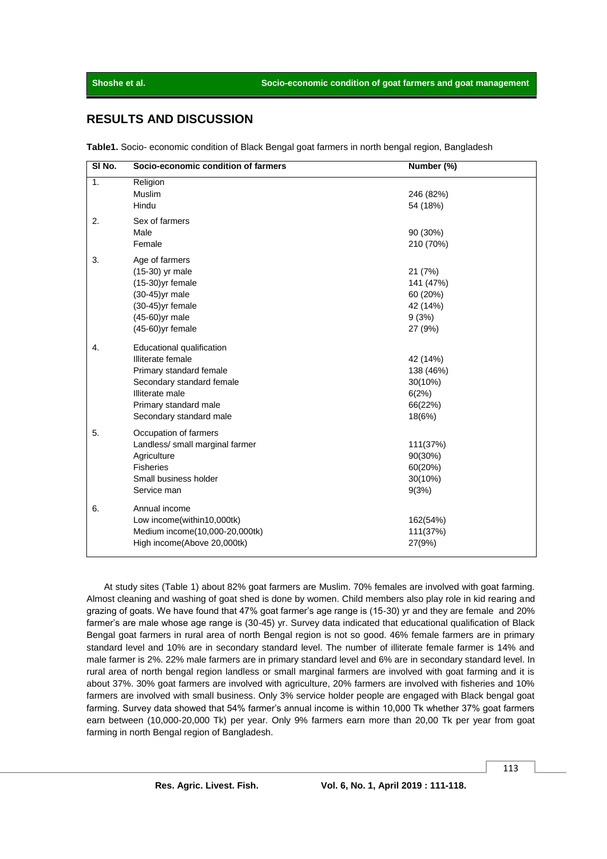## **RESULTS AND DISCUSSION**

**Table1.** Socio- economic condition of Black Bengal goat farmers in north bengal region, Bangladesh

| SI <sub>No.</sub> | Socio-economic condition of farmers                                                                                                                                           | Number (%)                                                       |
|-------------------|-------------------------------------------------------------------------------------------------------------------------------------------------------------------------------|------------------------------------------------------------------|
| 1.                | Religion<br>Muslim<br>Hindu                                                                                                                                                   | 246 (82%)<br>54 (18%)                                            |
| 2.                | Sex of farmers<br>Male<br>Female                                                                                                                                              | 90 (30%)<br>210 (70%)                                            |
| 3.                | Age of farmers<br>(15-30) yr male<br>$(15-30)$ yr female<br>$(30-45)$ yr male<br>$(30-45)$ yr female<br>(45-60)yr male<br>$(45-60)$ yr female                                 | 21 (7%)<br>141 (47%)<br>60 (20%)<br>42 (14%)<br>9(3%)<br>27 (9%) |
| 4.                | Educational qualification<br>Illiterate female<br>Primary standard female<br>Secondary standard female<br>Illiterate male<br>Primary standard male<br>Secondary standard male | 42 (14%)<br>138 (46%)<br>30(10%)<br>6(2%)<br>66(22%)<br>18(6%)   |
| 5.                | Occupation of farmers<br>Landless/ small marginal farmer<br>Agriculture<br><b>Fisheries</b><br>Small business holder<br>Service man                                           | 111(37%)<br>90(30%)<br>60(20%)<br>30(10%)<br>9(3%)               |
| 6.                | Annual income<br>Low income(within10,000tk)<br>Medium income(10,000-20,000tk)<br>High income(Above 20,000tk)                                                                  | 162(54%)<br>111(37%)<br>27(9%)                                   |

At study sites (Table 1) about 82% goat farmers are Muslim. 70% females are involved with goat farming. Almost cleaning and washing of goat shed is done by women. Child members also play role in kid rearing and grazing of goats. We have found that 47% goat farmer's age range is (15-30) yr and they are female and 20% farmer's are male whose age range is (30-45) yr. Survey data indicated that educational qualification of Black Bengal goat farmers in rural area of north Bengal region is not so good. 46% female farmers are in primary standard level and 10% are in secondary standard level. The number of illiterate female farmer is 14% and male farmer is 2%. 22% male farmers are in primary standard level and 6% are in secondary standard level. In rural area of north bengal region landless or small marginal farmers are involved with goat farming and it is about 37%. 30% goat farmers are involved with agriculture, 20% farmers are involved with fisheries and 10% farmers are involved with small business. Only 3% service holder people are engaged with Black bengal goat farming. Survey data showed that 54% farmer's annual income is within 10,000 Tk whether 37% goat farmers earn between (10,000-20,000 Tk) per year. Only 9% farmers earn more than 20,00 Tk per year from goat farming in north Bengal region of Bangladesh.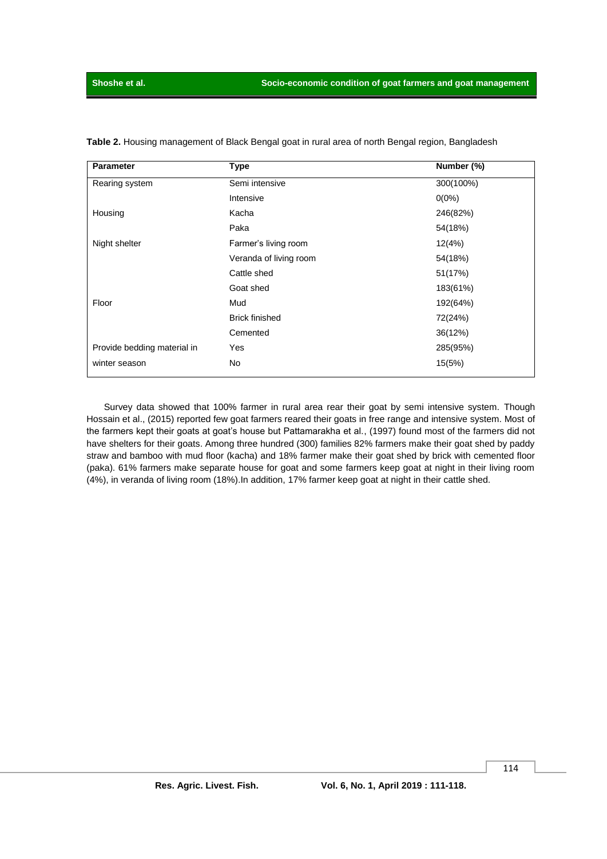| <b>Parameter</b>            | <b>Type</b>            | Number (%) |
|-----------------------------|------------------------|------------|
| Rearing system              | Semi intensive         | 300(100%)  |
|                             | Intensive              | $0(0\%)$   |
| Housing                     | Kacha                  | 246(82%)   |
|                             | Paka                   | 54(18%)    |
| Night shelter               | Farmer's living room   | 12(4%)     |
|                             | Veranda of living room | 54(18%)    |
|                             | Cattle shed            | 51(17%)    |
|                             | Goat shed              | 183(61%)   |
| Floor                       | Mud                    | 192(64%)   |
|                             | <b>Brick finished</b>  | 72(24%)    |
|                             | Cemented               | 36(12%)    |
| Provide bedding material in | Yes                    | 285(95%)   |
| winter season               | No                     | 15(5%)     |

**Table 2.** Housing management of Black Bengal goat in rural area of north Bengal region, Bangladesh

Survey data showed that 100% farmer in rural area rear their goat by semi intensive system. Though Hossain et al., (2015) reported few goat farmers reared their goats in free range and intensive system. Most of the farmers kept their goats at goat's house but Pattamarakha et al., (1997) found most of the farmers did not have shelters for their goats. Among three hundred (300) families 82% farmers make their goat shed by paddy straw and bamboo with mud floor (kacha) and 18% farmer make their goat shed by brick with cemented floor (paka). 61% farmers make separate house for goat and some farmers keep goat at night in their living room (4%), in veranda of living room (18%).In addition, 17% farmer keep goat at night in their cattle shed.

114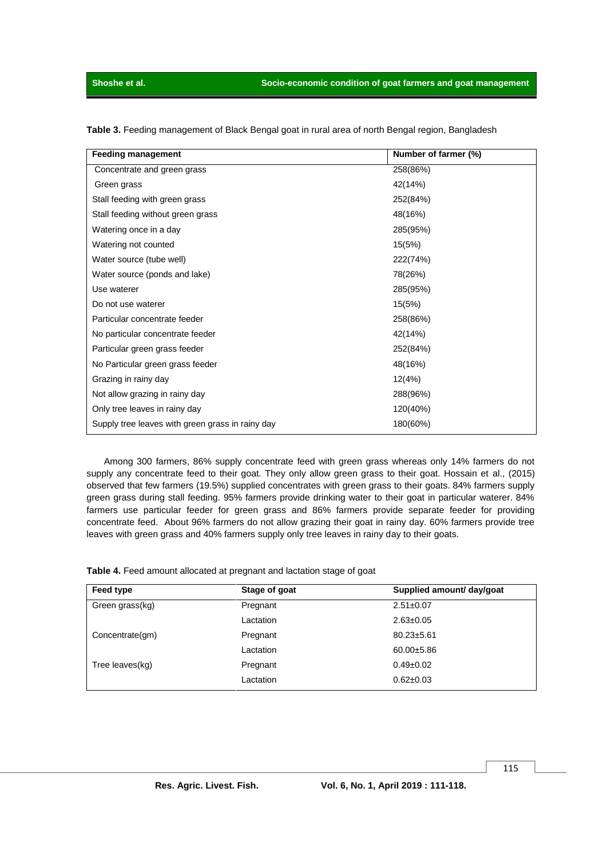| <b>Feeding management</b>                        | Number of farmer (%) |
|--------------------------------------------------|----------------------|
| Concentrate and green grass                      | 258(86%)             |
| Green grass                                      | 42(14%)              |
| Stall feeding with green grass                   | 252(84%)             |
| Stall feeding without green grass                | 48(16%)              |
| Watering once in a day                           | 285(95%)             |
| Watering not counted                             | 15(5%)               |
| Water source (tube well)                         | 222(74%)             |
| Water source (ponds and lake)                    | 78(26%)              |
| Use waterer                                      | 285(95%)             |
| Do not use waterer                               | 15(5%)               |
| Particular concentrate feeder                    | 258(86%)             |
| No particular concentrate feeder                 | 42(14%)              |
| Particular green grass feeder                    | 252(84%)             |
| No Particular green grass feeder                 | 48(16%)              |
| Grazing in rainy day                             | 12(4%)               |
| Not allow grazing in rainy day                   | 288(96%)             |
| Only tree leaves in rainy day                    | 120(40%)             |
| Supply tree leaves with green grass in rainy day | 180(60%)             |

**Table 3.** Feeding management of Black Bengal goat in rural area of north Bengal region, Bangladesh

Among 300 farmers, 86% supply concentrate feed with green grass whereas only 14% farmers do not supply any concentrate feed to their goat. They only allow green grass to their goat. Hossain et al., (2015) observed that few farmers (19.5%) supplied concentrates with green grass to their goats. 84% farmers supply green grass during stall feeding. 95% farmers provide drinking water to their goat in particular waterer. 84% farmers use particular feeder for green grass and 86% farmers provide separate feeder for providing concentrate feed. About 96% farmers do not allow grazing their goat in rainy day. 60% farmers provide tree leaves with green grass and 40% farmers supply only tree leaves in rainy day to their goats.

| Table 4. Feed amount allocated at pregnant and lactation stage of goat |  |  |  |
|------------------------------------------------------------------------|--|--|--|
|------------------------------------------------------------------------|--|--|--|

| Feed type       | Stage of goat | Supplied amount/ day/goat |
|-----------------|---------------|---------------------------|
| Green grass(kg) | Pregnant      | $2.51 \pm 0.07$           |
|                 | Lactation     | $2.63 \pm 0.05$           |
| Concentrate(gm) | Pregnant      | $80.23 \pm 5.61$          |
|                 | Lactation     | $60.00 \pm 5.86$          |
| Tree leaves(kg) | Pregnant      | $0.49 \pm 0.02$           |
|                 | Lactation     | $0.62 \pm 0.03$           |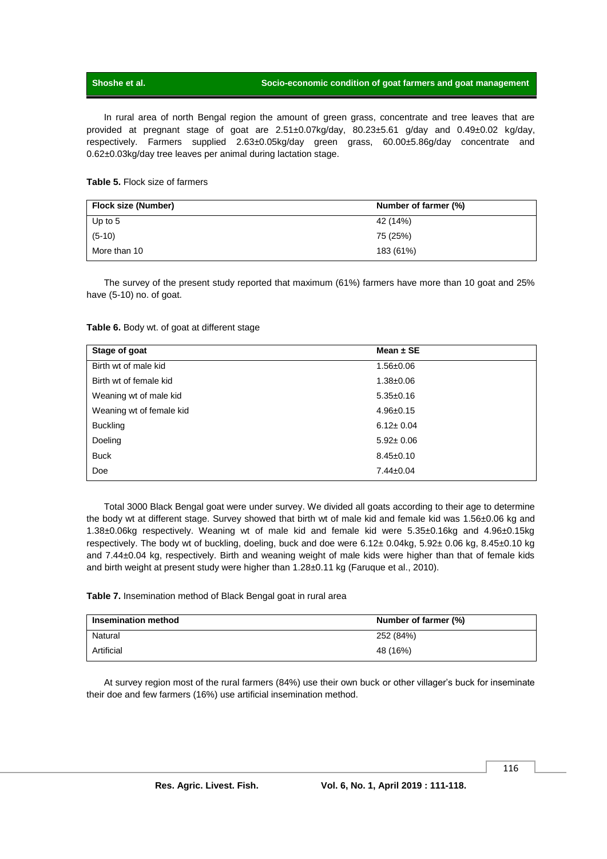### **Shoshe et al. Socio-economic condition of goat farmers and goat management**

In rural area of north Bengal region the amount of green grass, concentrate and tree leaves that are provided at pregnant stage of goat are 2.51±0.07kg/day, 80.23±5.61 g/day and 0.49±0.02 kg/day, respectively. Farmers supplied 2.63±0.05kg/day green grass, 60.00±5.86g/day concentrate and 0.62±0.03kg/day tree leaves per animal during lactation stage.

### **Table 5.** Flock size of farmers

| Flock size (Number) | Number of farmer (%) |
|---------------------|----------------------|
| Up to $5$           | 42 (14%)             |
| $(5-10)$            | 75 (25%)             |
| More than 10        | 183 (61%)            |

The survey of the present study reported that maximum (61%) farmers have more than 10 goat and 25% have (5-10) no. of goat.

### **Table 6.** Body wt. of goat at different stage

| Stage of goat            | Mean $\pm$ SE   |  |
|--------------------------|-----------------|--|
| Birth wt of male kid     | $1.56 \pm 0.06$ |  |
| Birth wt of female kid   | $1.38 \pm 0.06$ |  |
| Weaning wt of male kid   | $5.35 \pm 0.16$ |  |
| Weaning wt of female kid | $4.96 \pm 0.15$ |  |
| <b>Buckling</b>          | $6.12 \pm 0.04$ |  |
| Doeling                  | $5.92 \pm 0.06$ |  |
| <b>Buck</b>              | $8.45 \pm 0.10$ |  |
| Doe                      | $7.44 \pm 0.04$ |  |

Total 3000 Black Bengal goat were under survey. We divided all goats according to their age to determine the body wt at different stage. Survey showed that birth wt of male kid and female kid was 1.56±0.06 kg and 1.38±0.06kg respectively. Weaning wt of male kid and female kid were 5.35±0.16kg and 4.96±0.15kg respectively. The body wt of buckling, doeling, buck and doe were 6.12± 0.04kg, 5.92± 0.06 kg, 8.45±0.10 kg and 7.44±0.04 kg, respectively. Birth and weaning weight of male kids were higher than that of female kids and birth weight at present study were higher than 1.28±0.11 kg (Faruque et al., 2010).

**Table 7.** Insemination method of Black Bengal goat in rural area

| <b>Insemination method</b> | Number of farmer (%) |
|----------------------------|----------------------|
| Natural                    | 252 (84%)            |
| Artificial                 | 48 (16%)             |

At survey region most of the rural farmers (84%) use their own buck or other villager's buck for inseminate their doe and few farmers (16%) use artificial insemination method.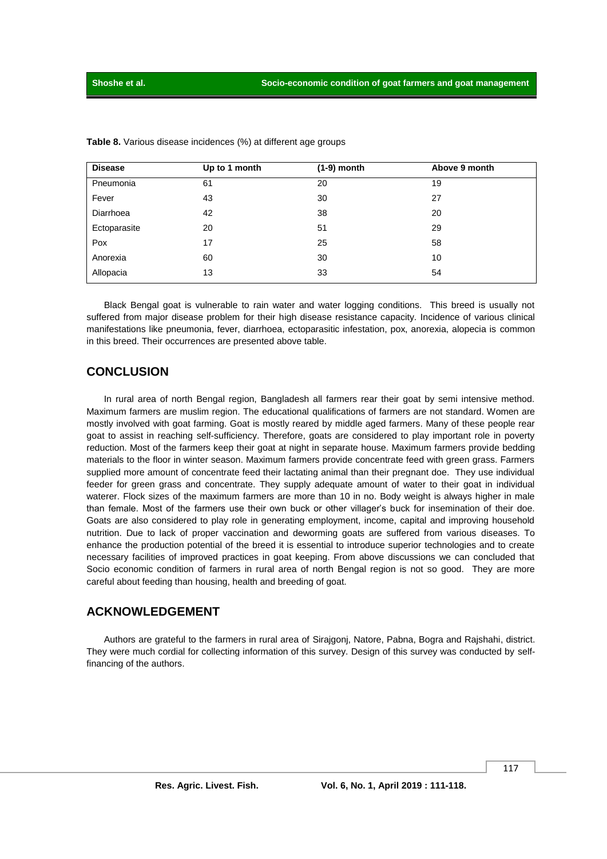| <b>Disease</b> | Up to 1 month | $(1-9)$ month | Above 9 month |
|----------------|---------------|---------------|---------------|
| Pneumonia      | 61            | 20            | 19            |
| Fever          | 43            | 30            | 27            |
| Diarrhoea      | 42            | 38            | 20            |
| Ectoparasite   | 20            | 51            | 29            |
| Pox            | 17            | 25            | 58            |
| Anorexia       | 60            | 30            | 10            |
| Allopacia      | 13            | 33            | 54            |

**Table 8.** Various disease incidences (%) at different age groups

Black Bengal goat is vulnerable to rain water and water logging conditions. This breed is usually not suffered from major disease problem for their high disease resistance capacity. Incidence of various clinical manifestations like pneumonia, fever, diarrhoea, ectoparasitic infestation, pox, anorexia, alopecia is common in this breed. Their occurrences are presented above table.

## **CONCLUSION**

In rural area of north Bengal region, Bangladesh all farmers rear their goat by semi intensive method. Maximum farmers are muslim region. The educational qualifications of farmers are not standard. Women are mostly involved with goat farming. Goat is mostly reared by middle aged farmers. Many of these people rear goat to assist in reaching self-sufficiency. Therefore, goats are considered to play important role in poverty reduction. Most of the farmers keep their goat at night in separate house. Maximum farmers provide bedding materials to the floor in winter season. Maximum farmers provide concentrate feed with green grass. Farmers supplied more amount of concentrate feed their lactating animal than their pregnant doe. They use individual feeder for green grass and concentrate. They supply adequate amount of water to their goat in individual waterer. Flock sizes of the maximum farmers are more than 10 in no. Body weight is always higher in male than female. Most of the farmers use their own buck or other villager's buck for insemination of their doe. Goats are also considered to play role in generating employment, income, capital and improving household nutrition. Due to lack of proper vaccination and deworming goats are suffered from various diseases. To enhance the production potential of the breed it is essential to introduce superior technologies and to create necessary facilities of improved practices in goat keeping. From above discussions we can concluded that Socio economic condition of farmers in rural area of north Bengal region is not so good. They are more careful about feeding than housing, health and breeding of goat.

## **ACKNOWLEDGEMENT**

Authors are grateful to the farmers in rural area of Sirajgonj, Natore, Pabna, Bogra and Rajshahi, district. They were much cordial for collecting information of this survey. Design of this survey was conducted by selffinancing of the authors.

117